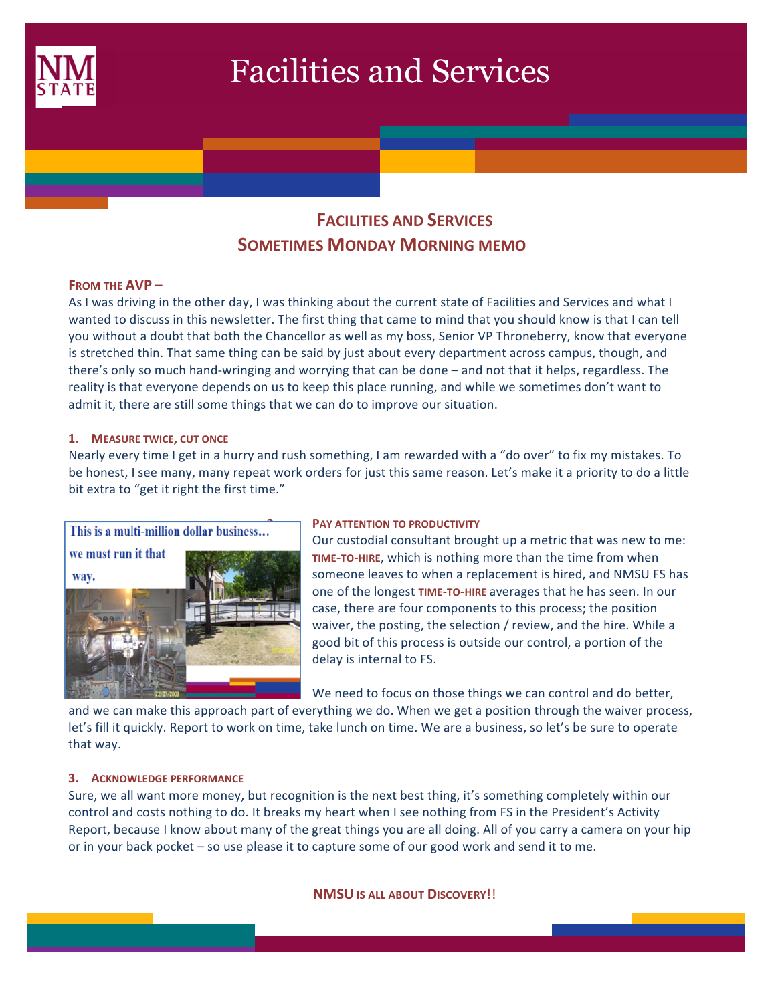

# Facilities and Services

# **FACILITIES AND SERVICES SOMETIMES MONDAY MORNING MEMO**

### **FROM THE AVP-**

As I was driving in the other day, I was thinking about the current state of Facilities and Services and what I wanted to discuss in this newsletter. The first thing that came to mind that you should know is that I can tell you without a doubt that both the Chancellor as well as my boss, Senior VP Throneberry, know that everyone is stretched thin. That same thing can be said by just about every department across campus, though, and there's only so much hand-wringing and worrying that can be done – and not that it helps, regardless. The reality is that everyone depends on us to keep this place running, and while we sometimes don't want to admit it, there are still some things that we can do to improve our situation.

#### **1. MEASURE TWICE, CUT ONCE**

Nearly every time I get in a hurry and rush something, I am rewarded with a "do over" to fix my mistakes. To be honest, I see many, many repeat work orders for just this same reason. Let's make it a priority to do a little bit extra to "get it right the first time."



Our custodial consultant brought up a metric that was new to me: **TIME-TO-HIRE,** which is nothing more than the time from when someone leaves to when a replacement is hired, and NMSU FS has one of the longest TIME-TO-HIRE averages that he has seen. In our case, there are four components to this process; the position waiver, the posting, the selection / review, and the hire. While a good bit of this process is outside our control, a portion of the delay is internal to FS.

We need to focus on those things we can control and do better,

and we can make this approach part of everything we do. When we get a position through the waiver process, let's fill it quickly. Report to work on time, take lunch on time. We are a business, so let's be sure to operate that way.

#### **3. ACKNOWLEDGE PERFORMANCE**

Sure, we all want more money, but recognition is the next best thing, it's something completely within our control and costs nothing to do. It breaks my heart when I see nothing from FS in the President's Activity Report, because I know about many of the great things you are all doing. All of you carry a camera on your hip or in your back pocket – so use please it to capture some of our good work and send it to me.

**NMSU IS ALL ABOUT DISCOVERY**!!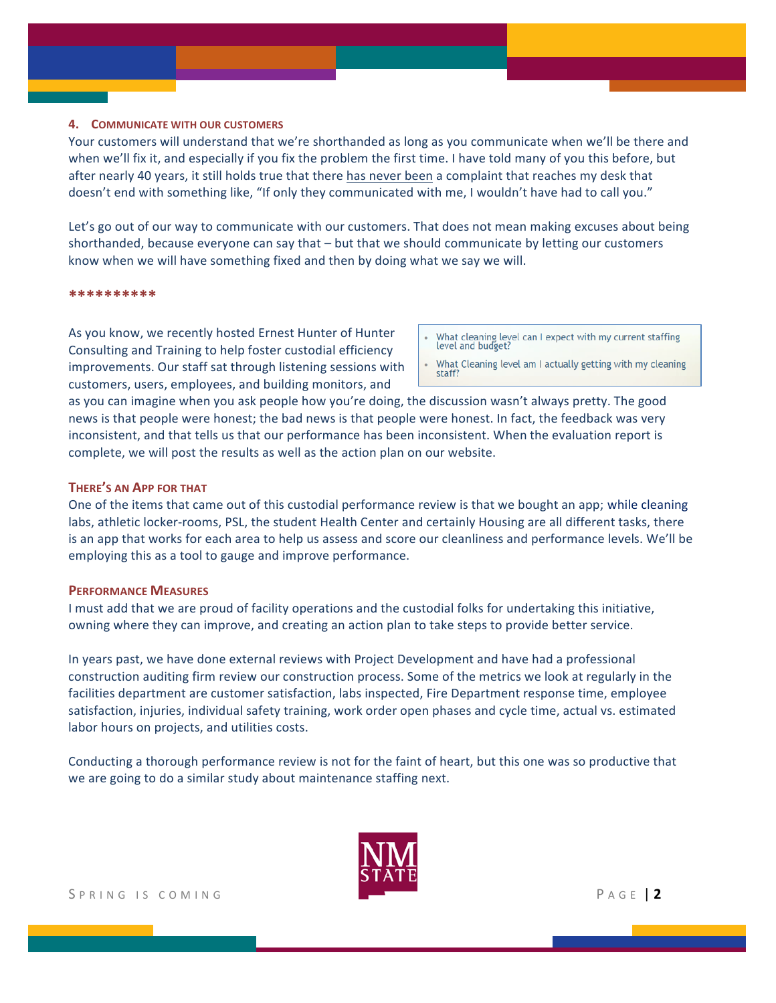#### **4. COMMUNICATE WITH OUR CUSTOMERS**

Your customers will understand that we're shorthanded as long as you communicate when we'll be there and when we'll fix it, and especially if you fix the problem the first time. I have told many of you this before, but after nearly 40 years, it still holds true that there has never been a complaint that reaches my desk that doesn't end with something like, "If only they communicated with me, I wouldn't have had to call you."

Let's go out of our way to communicate with our customers. That does not mean making excuses about being shorthanded, because everyone can say that  $-$  but that we should communicate by letting our customers know when we will have something fixed and then by doing what we say we will.

#### **\*\*\*\*\*\*\*\*\*\***

As you know, we recently hosted Ernest Hunter of Hunter Consulting and Training to help foster custodial efficiency improvements. Our staff sat through listening sessions with customers, users, employees, and building monitors, and

- What cleaning level can I expect with my current staffing level and budget?
- What Cleaning level am I actually getting with my cleaning staff

as you can imagine when you ask people how you're doing, the discussion wasn't always pretty. The good news is that people were honest; the bad news is that people were honest. In fact, the feedback was very inconsistent, and that tells us that our performance has been inconsistent. When the evaluation report is complete, we will post the results as well as the action plan on our website.

#### **THERE'S AN APP FOR THAT**

One of the items that came out of this custodial performance review is that we bought an app; while cleaning labs, athletic locker-rooms, PSL, the student Health Center and certainly Housing are all different tasks, there is an app that works for each area to help us assess and score our cleanliness and performance levels. We'll be employing this as a tool to gauge and improve performance.

#### **PERFORMANCE MEASURES**

I must add that we are proud of facility operations and the custodial folks for undertaking this initiative, owning where they can improve, and creating an action plan to take steps to provide better service.

In years past, we have done external reviews with Project Development and have had a professional construction auditing firm review our construction process. Some of the metrics we look at regularly in the facilities department are customer satisfaction, labs inspected, Fire Department response time, employee satisfaction, injuries, individual safety training, work order open phases and cycle time, actual vs. estimated labor hours on projects, and utilities costs.

Conducting a thorough performance review is not for the faint of heart, but this one was so productive that we are going to do a similar study about maintenance staffing next.

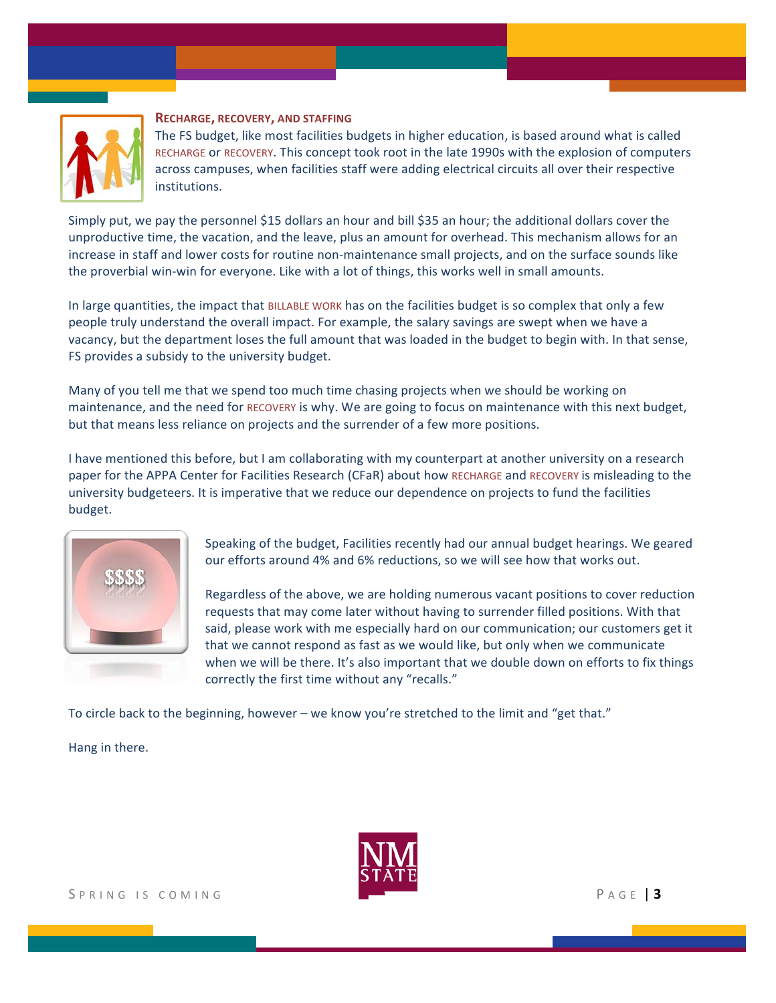

#### **RECHARGE, RECOVERY, AND STAFFING**

The FS budget, like most facilities budgets in higher education, is based around what is called RECHARGE or RECOVERY. This concept took root in the late 1990s with the explosion of computers across campuses, when facilities staff were adding electrical circuits all over their respective institutions. 

Simply put, we pay the personnel \$15 dollars an hour and bill \$35 an hour; the additional dollars cover the unproductive time, the vacation, and the leave, plus an amount for overhead. This mechanism allows for an increase in staff and lower costs for routine non-maintenance small projects, and on the surface sounds like the proverbial win-win for everyone. Like with a lot of things, this works well in small amounts.

In large quantities, the impact that BILLABLE WORK has on the facilities budget is so complex that only a few people truly understand the overall impact. For example, the salary savings are swept when we have a vacancy, but the department loses the full amount that was loaded in the budget to begin with. In that sense, FS provides a subsidy to the university budget.

Many of you tell me that we spend too much time chasing projects when we should be working on maintenance, and the need for RECOVERY is why. We are going to focus on maintenance with this next budget, but that means less reliance on projects and the surrender of a few more positions.

I have mentioned this before, but I am collaborating with my counterpart at another university on a research paper for the APPA Center for Facilities Research (CFaR) about how RECHARGE and RECOVERY is misleading to the university budgeteers. It is imperative that we reduce our dependence on projects to fund the facilities budget.



Speaking of the budget, Facilities recently had our annual budget hearings. We geared our efforts around 4% and 6% reductions, so we will see how that works out.

Regardless of the above, we are holding numerous vacant positions to cover reduction requests that may come later without having to surrender filled positions. With that said, please work with me especially hard on our communication; our customers get it that we cannot respond as fast as we would like, but only when we communicate when we will be there. It's also important that we double down on efforts to fix things correctly the first time without any "recalls."

To circle back to the beginning, however – we know you're stretched to the limit and "get that."

Hang in there.

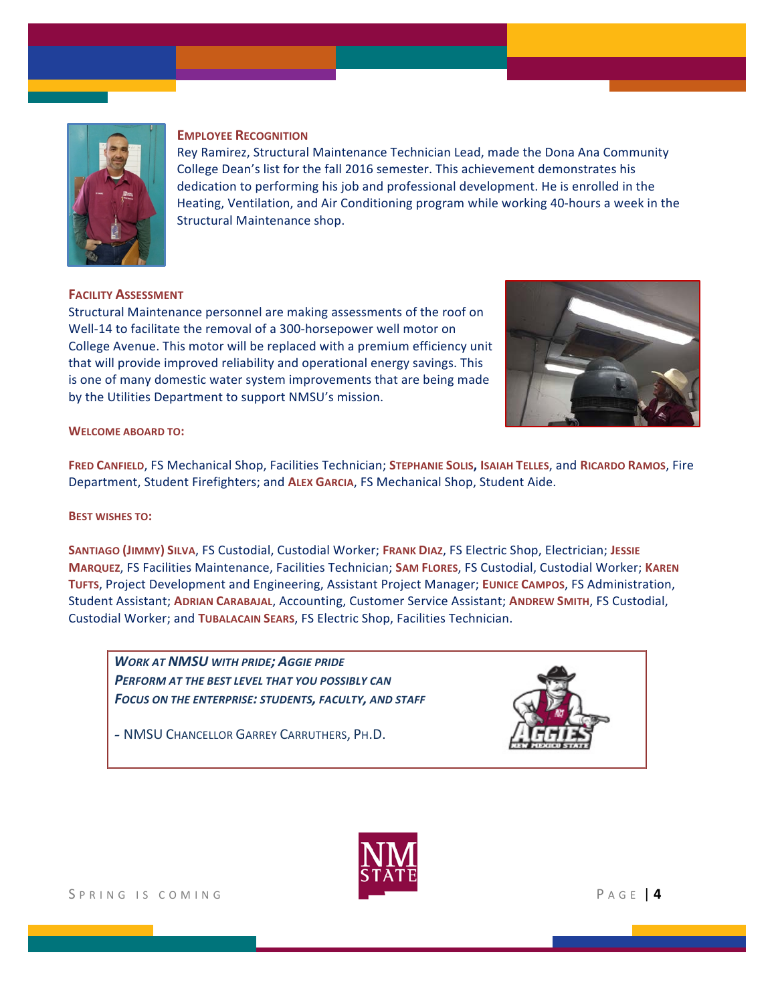

#### **EMPLOYEE RECOGNITION**

Rey Ramirez, Structural Maintenance Technician Lead, made the Dona Ana Community College Dean's list for the fall 2016 semester. This achievement demonstrates his dedication to performing his job and professional development. He is enrolled in the Heating, Ventilation, and Air Conditioning program while working 40-hours a week in the Structural Maintenance shop.

#### **FACILITY ASSESSMENT**

Structural Maintenance personnel are making assessments of the roof on Well-14 to facilitate the removal of a 300-horsepower well motor on College Avenue. This motor will be replaced with a premium efficiency unit that will provide improved reliability and operational energy savings. This is one of many domestic water system improvements that are being made by the Utilities Department to support NMSU's mission.



#### **WELCOME ABOARD TO:**

**FRED CANFIELD, FS Mechanical Shop, Facilities Technician; STEPHANIE SOLIS, ISAIAH TELLES, and RICARDO RAMOS, Fire** Department, Student Firefighters; and ALEX GARCIA, FS Mechanical Shop, Student Aide.

#### **BEST WISHES TO:**

**SANTIAGO (JIMMY) SILVA, FS Custodial, Custodial Worker; FRANK DIAZ, FS Electric Shop, Electrician; JESSIE MARQUEZ, FS Facilities Maintenance, Facilities Technician; SAM FLORES, FS Custodial, Custodial Worker; KAREN** TUFTS, Project Development and Engineering, Assistant Project Manager; EUNICE CAMPOS, FS Administration, Student Assistant; **ADRIAN CARABAJAL**, Accounting, Customer Service Assistant; **ANDREW SMITH**, FS Custodial, Custodial Worker; and TUBALACAIN SEARS, FS Electric Shop, Facilities Technician.

**WORK AT NMSU WITH PRIDE; AGGIE PRIDE PERFORM AT THE BEST LEVEL THAT YOU POSSIBLY CAN** *FOCUS ON THE ENTERPRISE: STUDENTS, FACULTY, AND STAFF*

*-* NMSU CHANCELLOR GARREY CARRUTHERS, PH.D.